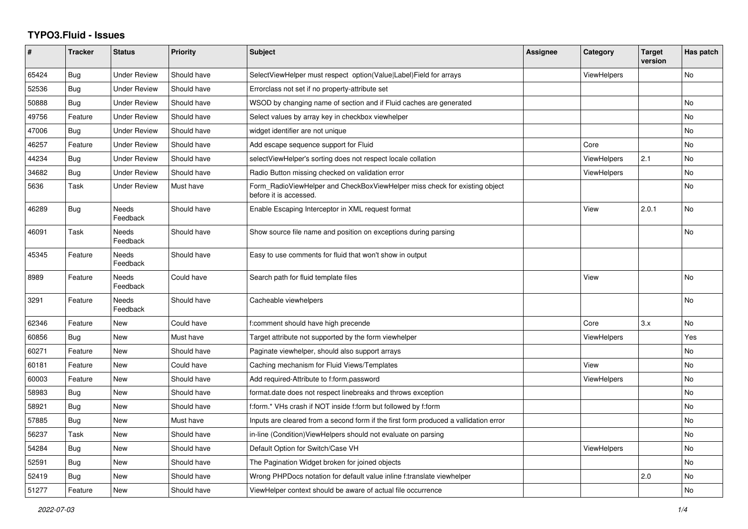## **TYPO3.Fluid - Issues**

| #     | <b>Tracker</b> | <b>Status</b>            | <b>Priority</b> | Subject                                                                                              | <b>Assignee</b> | Category           | <b>Target</b><br>version | Has patch |
|-------|----------------|--------------------------|-----------------|------------------------------------------------------------------------------------------------------|-----------------|--------------------|--------------------------|-----------|
| 65424 | Bug            | <b>Under Review</b>      | Should have     | SelectViewHelper must respect option(Value Label)Field for arrays                                    |                 | <b>ViewHelpers</b> |                          | No        |
| 52536 | Bug            | <b>Under Review</b>      | Should have     | Errorclass not set if no property-attribute set                                                      |                 |                    |                          |           |
| 50888 | <b>Bug</b>     | <b>Under Review</b>      | Should have     | WSOD by changing name of section and if Fluid caches are generated                                   |                 |                    |                          | No        |
| 49756 | Feature        | <b>Under Review</b>      | Should have     | Select values by array key in checkbox viewhelper                                                    |                 |                    |                          | <b>No</b> |
| 47006 | Bug            | <b>Under Review</b>      | Should have     | widget identifier are not unique                                                                     |                 |                    |                          | No        |
| 46257 | Feature        | <b>Under Review</b>      | Should have     | Add escape sequence support for Fluid                                                                |                 | Core               |                          | No        |
| 44234 | <b>Bug</b>     | <b>Under Review</b>      | Should have     | selectViewHelper's sorting does not respect locale collation                                         |                 | <b>ViewHelpers</b> | 2.1                      | <b>No</b> |
| 34682 | Bug            | <b>Under Review</b>      | Should have     | Radio Button missing checked on validation error                                                     |                 | <b>ViewHelpers</b> |                          | No        |
| 5636  | Task           | <b>Under Review</b>      | Must have       | Form RadioViewHelper and CheckBoxViewHelper miss check for existing object<br>before it is accessed. |                 |                    |                          | No        |
| 46289 | Bug            | <b>Needs</b><br>Feedback | Should have     | Enable Escaping Interceptor in XML request format                                                    |                 | View               | 2.0.1                    | <b>No</b> |
| 46091 | Task           | <b>Needs</b><br>Feedback | Should have     | Show source file name and position on exceptions during parsing                                      |                 |                    |                          | <b>No</b> |
| 45345 | Feature        | Needs<br>Feedback        | Should have     | Easy to use comments for fluid that won't show in output                                             |                 |                    |                          |           |
| 8989  | Feature        | Needs<br>Feedback        | Could have      | Search path for fluid template files                                                                 |                 | View               |                          | <b>No</b> |
| 3291  | Feature        | Needs<br>Feedback        | Should have     | Cacheable viewhelpers                                                                                |                 |                    |                          | <b>No</b> |
| 62346 | Feature        | <b>New</b>               | Could have      | f:comment should have high precende                                                                  |                 | Core               | 3.x                      | <b>No</b> |
| 60856 | Bug            | New                      | Must have       | Target attribute not supported by the form viewhelper                                                |                 | ViewHelpers        |                          | Yes       |
| 60271 | Feature        | New                      | Should have     | Paginate viewhelper, should also support arrays                                                      |                 |                    |                          | No        |
| 60181 | Feature        | New                      | Could have      | Caching mechanism for Fluid Views/Templates                                                          |                 | View               |                          | <b>No</b> |
| 60003 | Feature        | <b>New</b>               | Should have     | Add required-Attribute to f:form.password                                                            |                 | <b>ViewHelpers</b> |                          | <b>No</b> |
| 58983 | Bug            | <b>New</b>               | Should have     | format.date does not respect linebreaks and throws exception                                         |                 |                    |                          | No        |
| 58921 | Bug            | <b>New</b>               | Should have     | f:form.* VHs crash if NOT inside f:form but followed by f:form                                       |                 |                    |                          | No        |
| 57885 | Bug            | <b>New</b>               | Must have       | Inputs are cleared from a second form if the first form produced a vallidation error                 |                 |                    |                          | <b>No</b> |
| 56237 | Task           | <b>New</b>               | Should have     | in-line (Condition) View Helpers should not evaluate on parsing                                      |                 |                    |                          | No        |
| 54284 | Bug            | New                      | Should have     | Default Option for Switch/Case VH                                                                    |                 | <b>ViewHelpers</b> |                          | No        |
| 52591 | Bug            | <b>New</b>               | Should have     | The Pagination Widget broken for joined objects                                                      |                 |                    |                          | No        |
| 52419 | Bug            | <b>New</b>               | Should have     | Wrong PHPDocs notation for default value inline f:translate viewhelper                               |                 |                    | 2.0                      | <b>No</b> |
| 51277 | Feature        | New                      | Should have     | ViewHelper context should be aware of actual file occurrence                                         |                 |                    |                          | No        |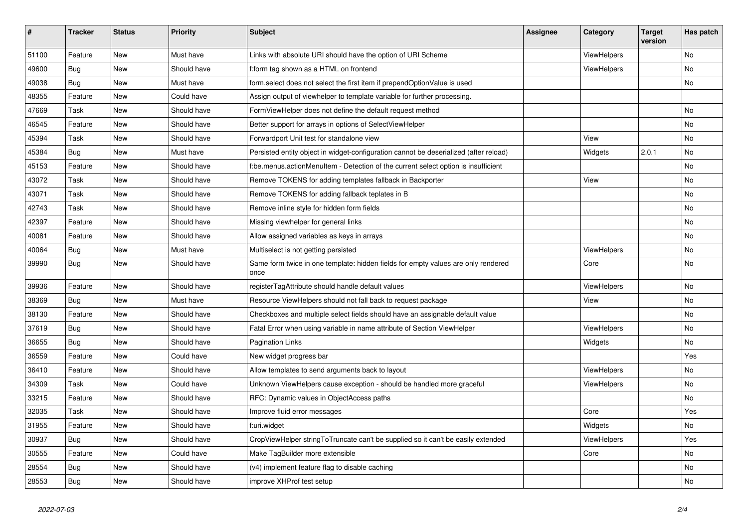| #     | <b>Tracker</b> | <b>Status</b> | <b>Priority</b> | <b>Subject</b>                                                                            | Assignee | Category           | <b>Target</b><br>version | Has patch      |
|-------|----------------|---------------|-----------------|-------------------------------------------------------------------------------------------|----------|--------------------|--------------------------|----------------|
| 51100 | Feature        | <b>New</b>    | Must have       | Links with absolute URI should have the option of URI Scheme                              |          | <b>ViewHelpers</b> |                          | <b>No</b>      |
| 49600 | Bug            | New           | Should have     | f:form tag shown as a HTML on frontend                                                    |          | <b>ViewHelpers</b> |                          | No             |
| 49038 | Bug            | New           | Must have       | form.select does not select the first item if prependOptionValue is used                  |          |                    |                          | No             |
| 48355 | Feature        | New           | Could have      | Assign output of viewhelper to template variable for further processing.                  |          |                    |                          |                |
| 47669 | Task           | <b>New</b>    | Should have     | FormViewHelper does not define the default request method                                 |          |                    |                          | No             |
| 46545 | Feature        | <b>New</b>    | Should have     | Better support for arrays in options of SelectViewHelper                                  |          |                    |                          | No             |
| 45394 | Task           | <b>New</b>    | Should have     | Forwardport Unit test for standalone view                                                 |          | View               |                          | No             |
| 45384 | Bug            | <b>New</b>    | Must have       | Persisted entity object in widget-configuration cannot be deserialized (after reload)     |          | Widgets            | 2.0.1                    | N <sub>o</sub> |
| 45153 | Feature        | <b>New</b>    | Should have     | f:be.menus.actionMenuItem - Detection of the current select option is insufficient        |          |                    |                          | <b>No</b>      |
| 43072 | Task           | New           | Should have     | Remove TOKENS for adding templates fallback in Backporter                                 |          | View               |                          | No             |
| 43071 | Task           | New           | Should have     | Remove TOKENS for adding fallback teplates in B                                           |          |                    |                          | No             |
| 42743 | Task           | New           | Should have     | Remove inline style for hidden form fields                                                |          |                    |                          | No             |
| 42397 | Feature        | New           | Should have     | Missing viewhelper for general links                                                      |          |                    |                          | No             |
| 40081 | Feature        | <b>New</b>    | Should have     | Allow assigned variables as keys in arrays                                                |          |                    |                          | No.            |
| 40064 | Bug            | <b>New</b>    | Must have       | Multiselect is not getting persisted                                                      |          | <b>ViewHelpers</b> |                          | No.            |
| 39990 | Bug            | New           | Should have     | Same form twice in one template: hidden fields for empty values are only rendered<br>once |          | Core               |                          | No             |
| 39936 | Feature        | New           | Should have     | registerTagAttribute should handle default values                                         |          | <b>ViewHelpers</b> |                          | No             |
| 38369 | Bug            | New           | Must have       | Resource ViewHelpers should not fall back to request package                              |          | View               |                          | No             |
| 38130 | Feature        | New           | Should have     | Checkboxes and multiple select fields should have an assignable default value             |          |                    |                          | No             |
| 37619 | <b>Bug</b>     | New           | Should have     | Fatal Error when using variable in name attribute of Section ViewHelper                   |          | ViewHelpers        |                          | No             |
| 36655 | Bug            | New           | Should have     | <b>Pagination Links</b>                                                                   |          | Widgets            |                          | No.            |
| 36559 | Feature        | New           | Could have      | New widget progress bar                                                                   |          |                    |                          | Yes            |
| 36410 | Feature        | New           | Should have     | Allow templates to send arguments back to layout                                          |          | <b>ViewHelpers</b> |                          | No             |
| 34309 | Task           | New           | Could have      | Unknown ViewHelpers cause exception - should be handled more graceful                     |          | ViewHelpers        |                          | No.            |
| 33215 | Feature        | New           | Should have     | RFC: Dynamic values in ObjectAccess paths                                                 |          |                    |                          | No             |
| 32035 | Task           | <b>New</b>    | Should have     | Improve fluid error messages                                                              |          | Core               |                          | Yes            |
| 31955 | Feature        | New           | Should have     | f:uri.widget                                                                              |          | Widgets            |                          | No             |
| 30937 | Bug            | New           | Should have     | CropViewHelper stringToTruncate can't be supplied so it can't be easily extended          |          | ViewHelpers        |                          | Yes            |
| 30555 | Feature        | New           | Could have      | Make TagBuilder more extensible                                                           |          | Core               |                          | No             |
| 28554 | Bug            | <b>New</b>    | Should have     | (v4) implement feature flag to disable caching                                            |          |                    |                          | No             |
| 28553 | Bug            | <b>New</b>    | Should have     | improve XHProf test setup                                                                 |          |                    |                          | No             |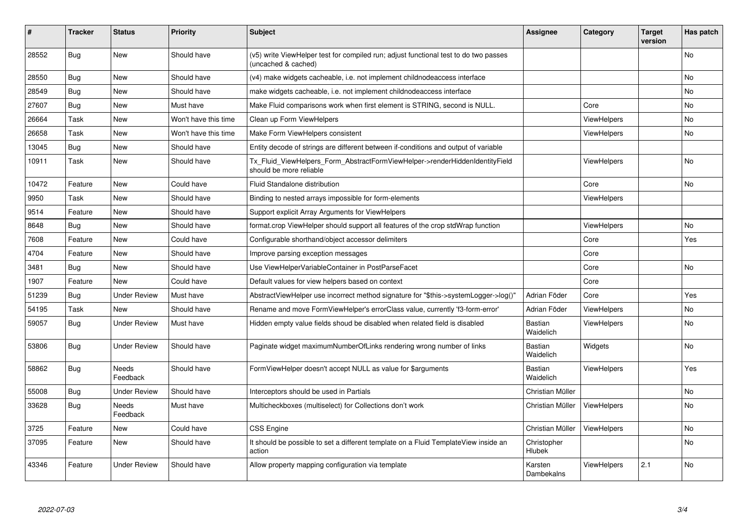| ∦     | <b>Tracker</b> | <b>Status</b>       | <b>Priority</b>      | <b>Subject</b>                                                                                              | <b>Assignee</b>             | Category           | <b>Target</b><br>version | Has patch |
|-------|----------------|---------------------|----------------------|-------------------------------------------------------------------------------------------------------------|-----------------------------|--------------------|--------------------------|-----------|
| 28552 | Bug            | New                 | Should have          | (v5) write ViewHelper test for compiled run; adjust functional test to do two passes<br>(uncached & cached) |                             |                    |                          | No        |
| 28550 | Bug            | New                 | Should have          | (v4) make widgets cacheable, i.e. not implement childnodeaccess interface                                   |                             |                    |                          | No        |
| 28549 | Bug            | <b>New</b>          | Should have          | make widgets cacheable, i.e. not implement childnodeaccess interface                                        |                             |                    |                          | <b>No</b> |
| 27607 | <b>Bug</b>     | <b>New</b>          | Must have            | Make Fluid comparisons work when first element is STRING, second is NULL.                                   |                             | Core               |                          | No        |
| 26664 | Task           | <b>New</b>          | Won't have this time | Clean up Form ViewHelpers                                                                                   |                             | <b>ViewHelpers</b> |                          | <b>No</b> |
| 26658 | Task           | <b>New</b>          | Won't have this time | Make Form ViewHelpers consistent                                                                            |                             | <b>ViewHelpers</b> |                          | <b>No</b> |
| 13045 | <b>Bug</b>     | New                 | Should have          | Entity decode of strings are different between if-conditions and output of variable                         |                             |                    |                          |           |
| 10911 | Task           | New                 | Should have          | Tx Fluid ViewHelpers Form AbstractFormViewHelper->renderHiddenIdentityField<br>should be more reliable      |                             | <b>ViewHelpers</b> |                          | No        |
| 10472 | Feature        | New                 | Could have           | <b>Fluid Standalone distribution</b>                                                                        |                             | Core               |                          | <b>No</b> |
| 9950  | Task           | New                 | Should have          | Binding to nested arrays impossible for form-elements                                                       |                             | <b>ViewHelpers</b> |                          |           |
| 9514  | Feature        | New                 | Should have          | Support explicit Array Arguments for ViewHelpers                                                            |                             |                    |                          |           |
| 8648  | <b>Bug</b>     | New                 | Should have          | format.crop ViewHelper should support all features of the crop stdWrap function                             |                             | <b>ViewHelpers</b> |                          | No        |
| 7608  | Feature        | New                 | Could have           | Configurable shorthand/object accessor delimiters                                                           |                             | Core               |                          | Yes       |
| 4704  | Feature        | <b>New</b>          | Should have          | Improve parsing exception messages                                                                          |                             | Core               |                          |           |
| 3481  | Bug            | <b>New</b>          | Should have          | Use ViewHelperVariableContainer in PostParseFacet                                                           |                             | Core               |                          | <b>No</b> |
| 1907  | Feature        | New                 | Could have           | Default values for view helpers based on context                                                            |                             | Core               |                          |           |
| 51239 | Bug            | <b>Under Review</b> | Must have            | AbstractViewHelper use incorrect method signature for "\$this->systemLogger->log()"                         | Adrian Föder                | Core               |                          | Yes       |
| 54195 | Task           | <b>New</b>          | Should have          | Rename and move FormViewHelper's errorClass value, currently 'f3-form-error'                                | Adrian Föder                | <b>ViewHelpers</b> |                          | <b>No</b> |
| 59057 | Bug            | <b>Under Review</b> | Must have            | Hidden empty value fields shoud be disabled when related field is disabled                                  | Bastian<br>Waidelich        | <b>ViewHelpers</b> |                          | No        |
| 53806 | Bug            | <b>Under Review</b> | Should have          | Paginate widget maximumNumberOfLinks rendering wrong number of links                                        | <b>Bastian</b><br>Waidelich | Widgets            |                          | No        |
| 58862 | <b>Bug</b>     | Needs<br>Feedback   | Should have          | FormViewHelper doesn't accept NULL as value for \$arguments                                                 | Bastian<br>Waidelich        | ViewHelpers        |                          | Yes       |
| 55008 | <b>Bug</b>     | Under Review        | Should have          | Interceptors should be used in Partials                                                                     | Christian Müller            |                    |                          | No        |
| 33628 | <b>Bug</b>     | Needs<br>Feedback   | Must have            | Multicheckboxes (multiselect) for Collections don't work                                                    | Christian Müller            | <b>ViewHelpers</b> |                          | No        |
| 3725  | Feature        | New                 | Could have           | <b>CSS Engine</b>                                                                                           | Christian Müller            | <b>ViewHelpers</b> |                          | No        |
| 37095 | Feature        | New                 | Should have          | It should be possible to set a different template on a Fluid TemplateView inside an<br>action               | Christopher<br>Hlubek       |                    |                          | No        |
| 43346 | Feature        | <b>Under Review</b> | Should have          | Allow property mapping configuration via template                                                           | Karsten<br>Dambekalns       | ViewHelpers        | 2.1                      | No        |